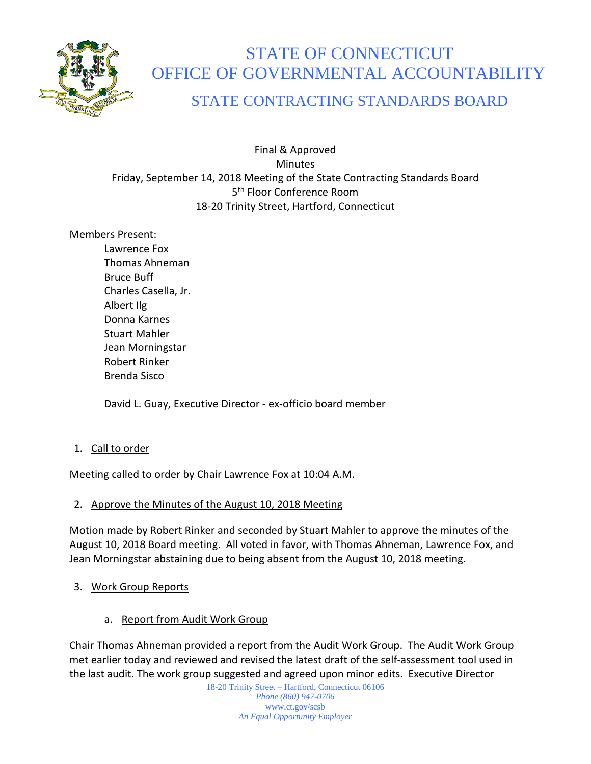

# STATE OF CONNECTICUT OFFICE OF GOVERNMENTAL ACCOUNTABILITY

# STATE CONTRACTING STANDARDS BOARD

Final & Approved **Minutes** Friday, September 14, 2018 Meeting of the State Contracting Standards Board 5<sup>th</sup> Floor Conference Room 18-20 Trinity Street, Hartford, Connecticut

Members Present:

Lawrence Fox Thomas Ahneman Bruce Buff Charles Casella, Jr. Albert Ilg Donna Karnes Stuart Mahler Jean Morningstar Robert Rinker Brenda Sisco

David L. Guay, Executive Director - ex-officio board member

1. Call to order

Meeting called to order by Chair Lawrence Fox at 10:04 A.M.

# 2. Approve the Minutes of the August 10, 2018 Meeting

Motion made by Robert Rinker and seconded by Stuart Mahler to approve the minutes of the August 10, 2018 Board meeting. All voted in favor, with Thomas Ahneman, Lawrence Fox, and Jean Morningstar abstaining due to being absent from the August 10, 2018 meeting.

- 3. Work Group Reports
	- a. Report from Audit Work Group

Chair Thomas Ahneman provided a report from the Audit Work Group. The Audit Work Group met earlier today and reviewed and revised the latest draft of the self-assessment tool used in the last audit. The work group suggested and agreed upon minor edits. Executive Director

18-20 Trinity Street – Hartford, Connecticut 06106 *Phone (860) 947-0706*  www.ct.gov/scsb *An Equal Opportunity Employer*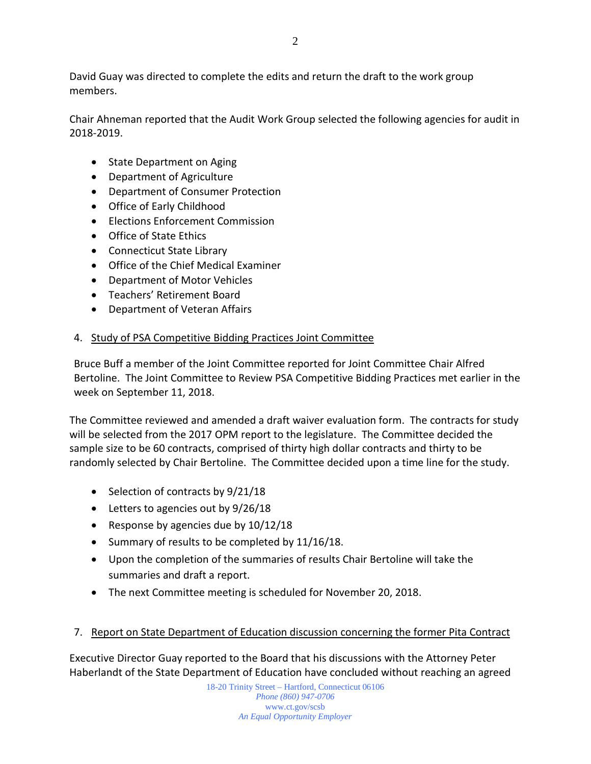David Guay was directed to complete the edits and return the draft to the work group members.

Chair Ahneman reported that the Audit Work Group selected the following agencies for audit in 2018-2019.

- State Department on Aging
- Department of Agriculture
- Department of Consumer Protection
- Office of Early Childhood
- Elections Enforcement Commission
- Office of State Ethics
- Connecticut State Library
- Office of the Chief Medical Examiner
- Department of Motor Vehicles
- Teachers' Retirement Board
- Department of Veteran Affairs

# 4. Study of PSA Competitive Bidding Practices Joint Committee

Bruce Buff a member of the Joint Committee reported for Joint Committee Chair Alfred Bertoline. The Joint Committee to Review PSA Competitive Bidding Practices met earlier in the week on September 11, 2018.

The Committee reviewed and amended a draft waiver evaluation form. The contracts for study will be selected from the 2017 OPM report to the legislature. The Committee decided the sample size to be 60 contracts, comprised of thirty high dollar contracts and thirty to be randomly selected by Chair Bertoline. The Committee decided upon a time line for the study.

- Selection of contracts by 9/21/18
- Letters to agencies out by 9/26/18
- Response by agencies due by 10/12/18
- Summary of results to be completed by 11/16/18.
- Upon the completion of the summaries of results Chair Bertoline will take the summaries and draft a report.
- The next Committee meeting is scheduled for November 20, 2018.
- 7. Report on State Department of Education discussion concerning the former Pita Contract

Executive Director Guay reported to the Board that his discussions with the Attorney Peter Haberlandt of the State Department of Education have concluded without reaching an agreed